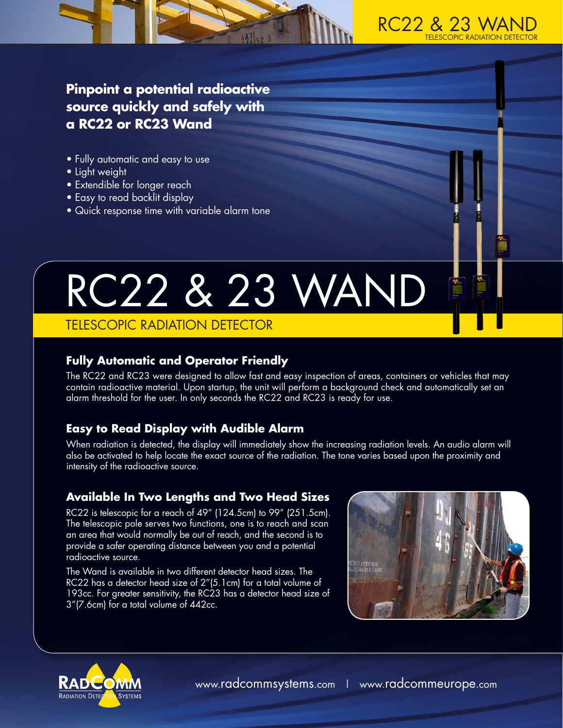

**Pinpoint a potential radioactive source quickly and safely with a RC22 or RC23 Wand** 

- Fully automatic and easy to use
- Light weight
- Extendible for longer reach
- Easy to read backlit display
- Quick response time with variable alarm tone

# RC22 & 23 WAND

# TELESCOPIC RADIATION DETECTOR

# **Fully Automatic and Operator Friendly**

The RC22 and RC23 were designed to allow fast and easy inspection of areas, containers or vehicles that may contain radioactive material. Upon startup, the unit will perform a background check and automatically set an alarm threshold for the user. In only seconds the RC22 and RC23 is ready for use.

# **Easy to Read Display with Audible Alarm**

When radiation is detected, the display will immediately show the increasing radiation levels. An audio alarm will also be activated to help locate the exact source of the radiation. The tone varies based upon the proximity and intensity of the radioactive source.

# **Available In Two Lengths and Two Head Sizes**

RC22 is telescopic for a reach of 49" (124.5cm) to 99" (251.5cm). The telescopic pole serves two functions, one is to reach and scan an area that would normally be out of reach, and the second is to provide a safer operating distance between you and a potential radioactive source.

The Wand is available in two different detector head sizes. The RC22 has a detector head size of 2"(5.1cm) for a total volume of 193cc. For greater sensitivity, the RC23 has a detector head size of 3"(7.6cm) for a total volume of 442cc.